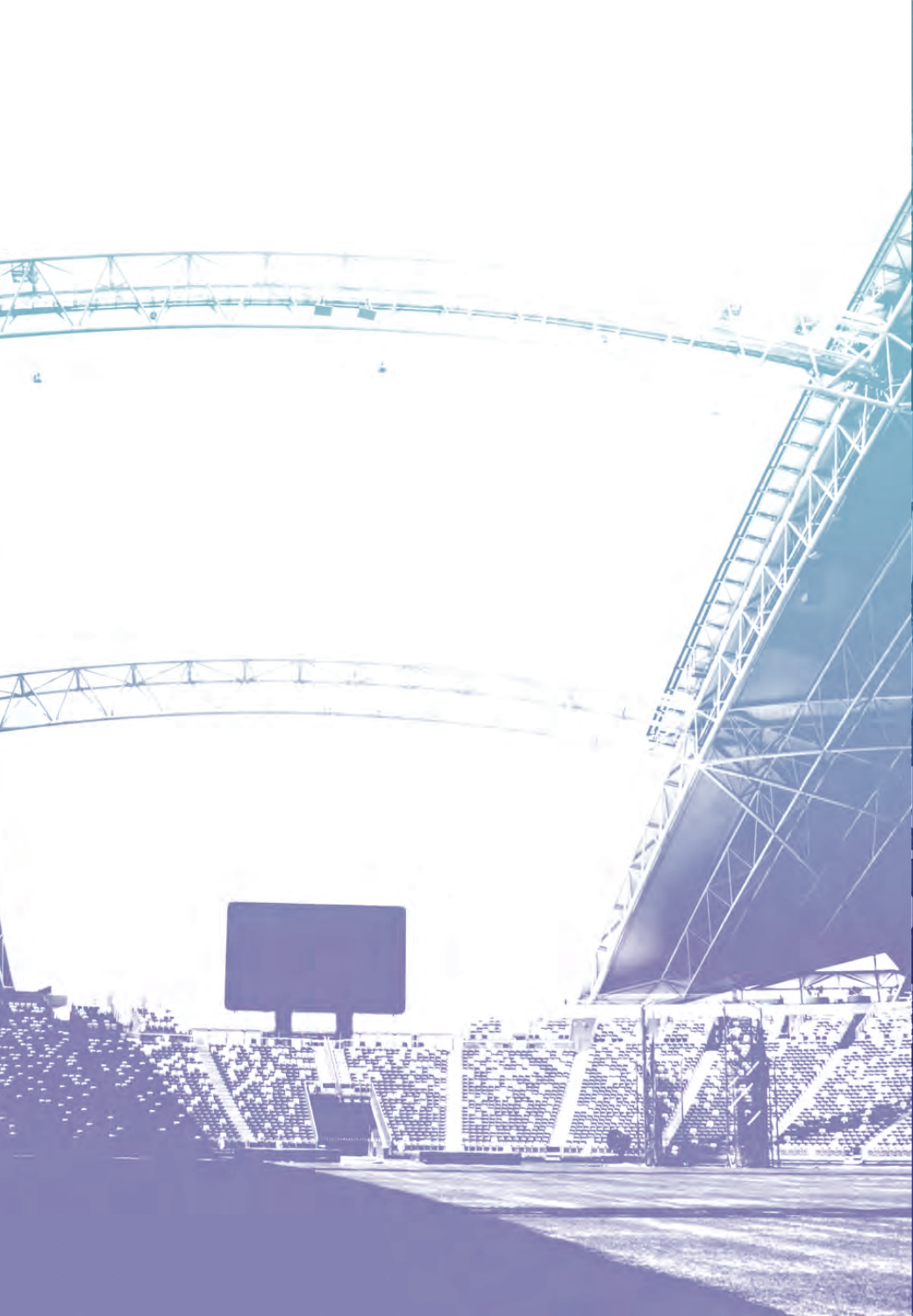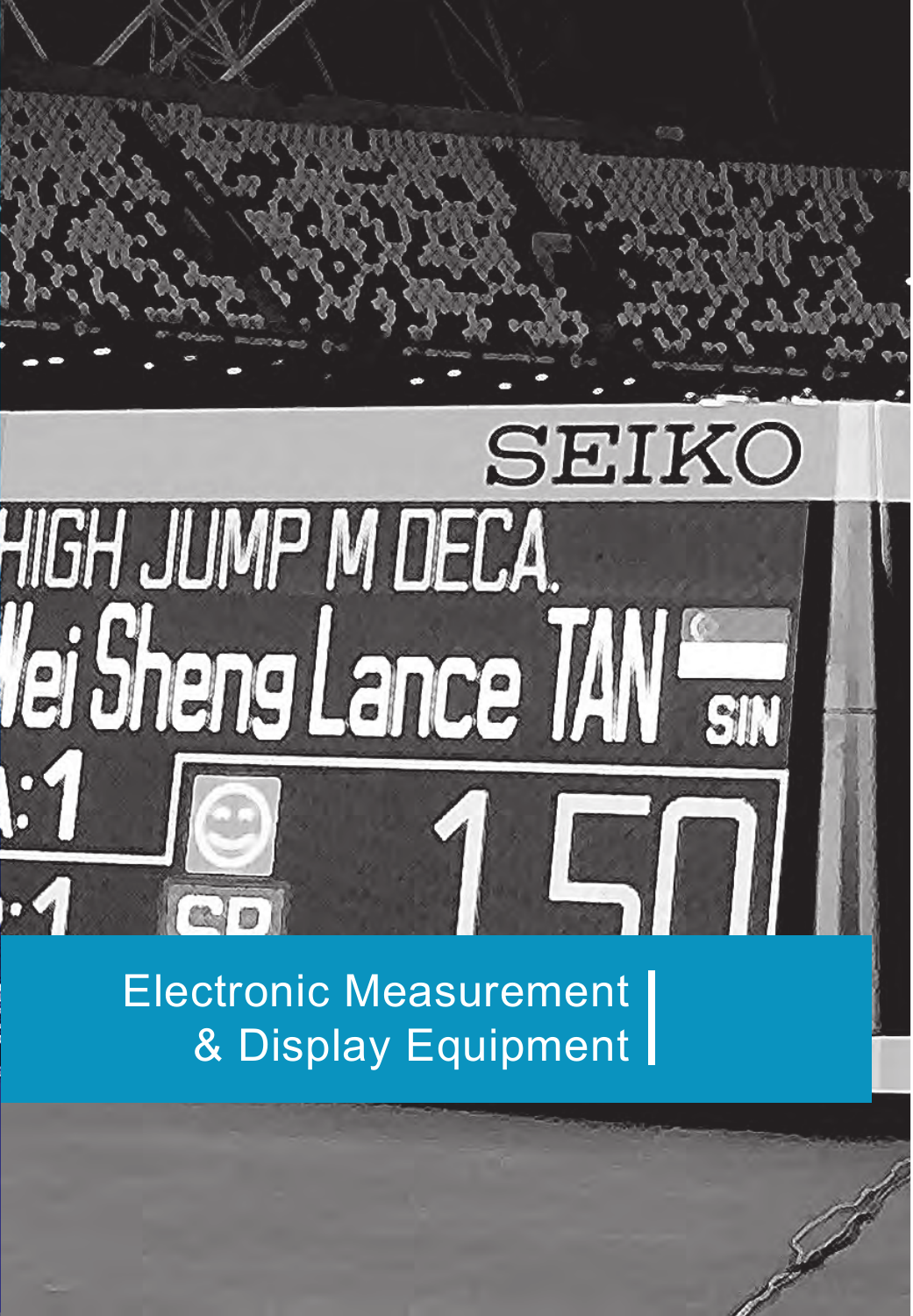# SEIKO HIGH JUMP M DECA. *Vei Sheng Lance TA*

# Electronic Measurement & Display Equipment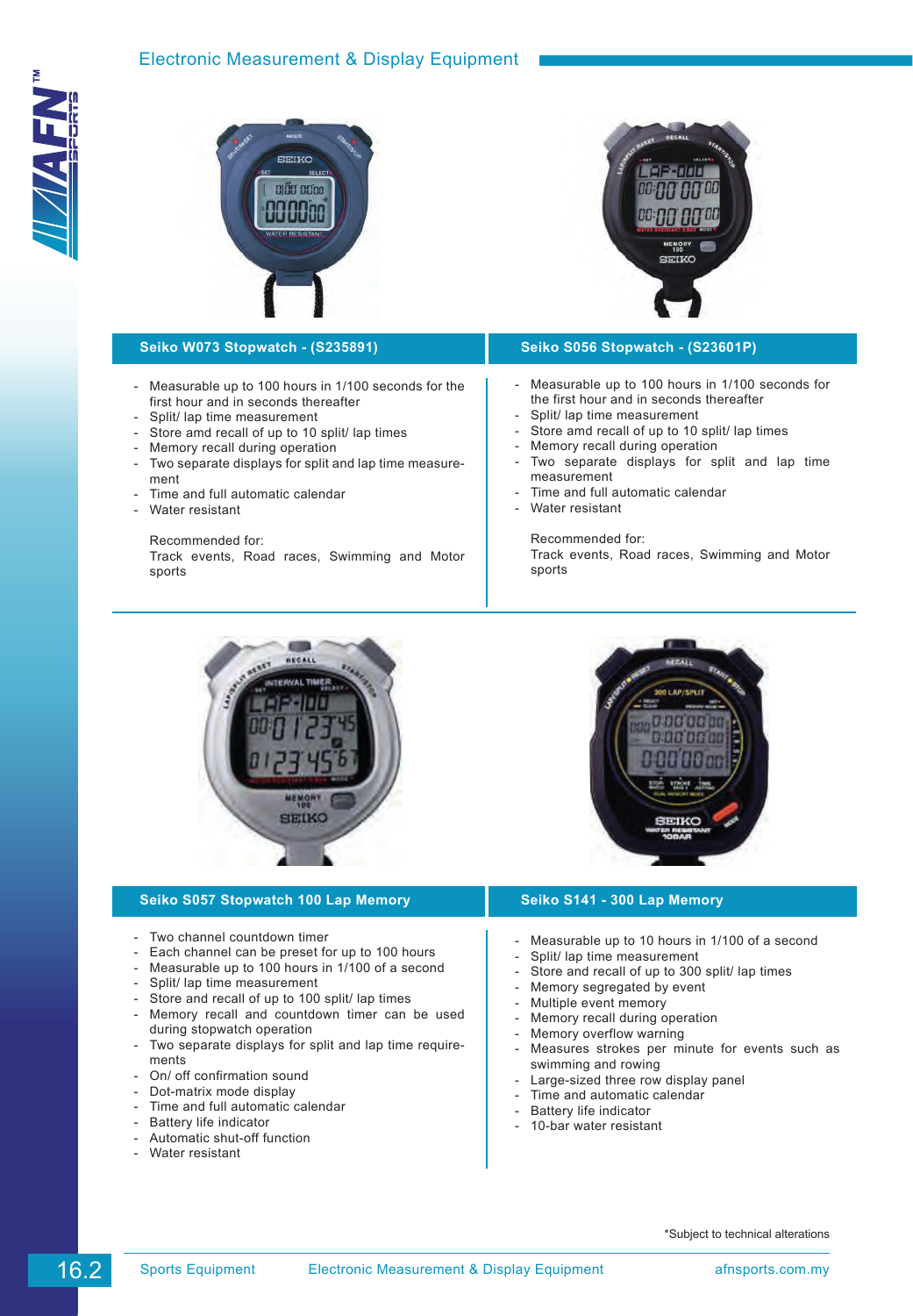





# **Seiko W073 Stopwatch - (S235891) Seiko S056 Stopwatch - (S23601P)**

- Measurable up to 100 hours in 1/100 seconds for the first hour and in seconds thereafter
- Split/ lap time measurement
- Store amd recall of up to 10 split/ lap times
- Memory recall during operation
- Two separate displays for split and lap time measurement
- Time and full automatic calendar
- Water resistant

Recommended for: Track events, Road races, Swimming and Motor sports

- Measurable up to 100 hours in 1/100 seconds for the first hour and in seconds thereafter
- Split/ lap time measurement
- Store amd recall of up to 10 split/ lap times
- Memory recall during operation
- - Two separate displays for split and lap time measurement
- Time and full automatic calendar
- Water resistant
- 

Recommended for: Track events, Road races, Swimming and Motor sports





### **Seiko S057 Stopwatch 100 Lap Memory Seiko S141 - 300 Lap Memory**

- Two channel countdown timer
- Each channel can be preset for up to 100 hours
- Measurable up to 100 hours in 1/100 of a second
- Split/ lap time measurement
- Store and recall of up to 100 split/ lap times
- - Memory recall and countdown timer can be used during stopwatch operation
- Two separate displays for split and lap time requirements
- On/ off confirmation sound
- Dot-matrix mode display
- Time and full automatic calendar
- Battery life indicator
- - Water resistant Automatic shut-off function
- 

- Measurable up to 10 hours in 1/100 of a second
- Split/ lap time measurement
- Store and recall of up to 300 split/ lap times
- Memory segregated by event
- Multiple event memory
- Memory recall during operation
- Memory overflow warning
- Measures strokes per minute for events such as swimming and rowing
- Large-sized three row display panel
- Time and automatic calendar
- Battery life indicator
- 10-bar water resistant

\*Subject to technical alterations

16.2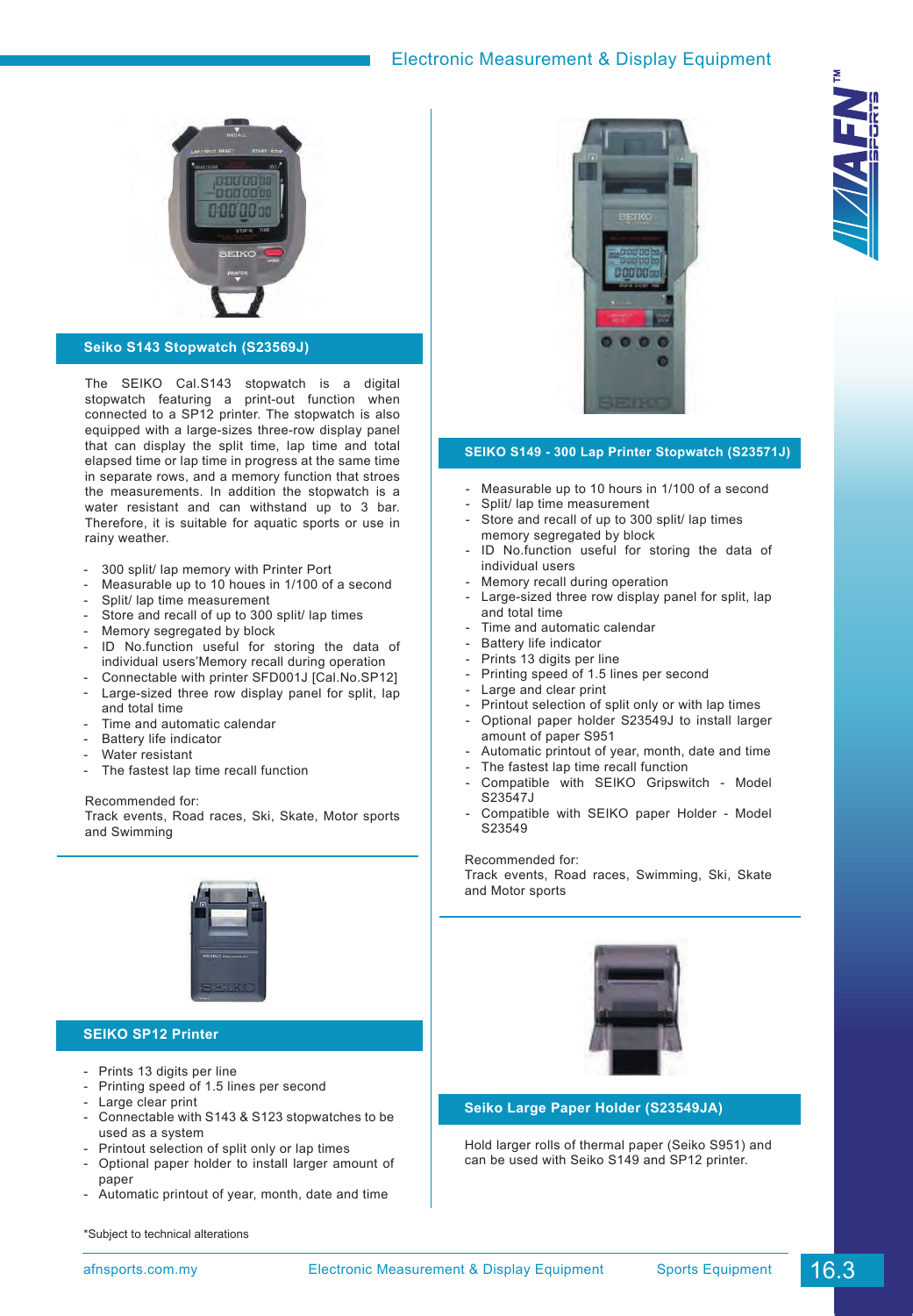

# **Seiko S143 Stopwatch (S23569J)**

The SEIKO Cal.S143 stopwatch is a digital stopwatch featuring a print-out function when connected to a SP12 printer. The stopwatch is also equipped with a large-sizes three-row display panel that can display the split time, lap time and total elapsed time or lap time in progress at the same time in separate rows, and a memory function that stroes the measurements. In addition the stopwatch is a water resistant and can withstand up to 3 bar. Therefore, it is suitable for aquatic sports or use in rainy weather.

- 300 split/ lap memory with Printer Port -
- Measurable up to 10 houes in 1/100 of a second -
- Split/ lap time measurement -
- Store and recall of up to 300 split/ lap times -
- Memory segregated by block -
- ID No.function useful for storing the data of individual users'Memory recall during operation -
- Connectable with printer SFD001J [Cal.No.SP12] Large-sized three row display panel for split, lap - -
- and total time
- Time and automatic calendar -
- Battery life indicator -
- Water resistant -
- The fastest lap time recall function -

# Recommended for:

Track events, Road races, Ski, Skate, Motor sports and Swimming



# **SEIKO SP12 Printer**

- Prints 13 digits per line -
- Printing speed of 1.5 lines per second -
- Large clear print -
- Connectable with S143 & S123 stopwatches to be used as a system -
- Printout selection of split only or lap times -
- Optional paper holder to install larger amount of paper -
- Automatic printout of year, month, date and time -



# **SEIKO S149 - 300 Lap Printer Stopwatch (S23571J)**

- Measurable up to 10 hours in 1/100 of a second -
- Split/ lap time measurement
- Store and recall of up to 300 split/ lap times memory segregated by block
- ID No.function useful for storing the data of individual users
- Memory recall during operation
- Large-sized three row display panel for split, lap and total time -
- Time and automatic calendar -
- Battery life indicator
- Prints 13 digits per line -
- Printing speed of 1.5 lines per second
- Printing speed of 1.5<br>- Large and clear print
- Printout selection of split only or with lap times
- Optional paper holder S23549J to install larger amount of paper S951
- Automatic printout of year, month, date and time -
- The fastest lap time recall function
- Compatible with SEIKO Gripswitch Model S23547J -
- Compatible with SEIKO paper Holder Model S23549 -

Recommended for:

Track events, Road races, Swimming, Ski, Skate and Motor sports



# **Seiko Large Paper Holder (S23549JA)**

Hold larger rolls of thermal paper (Seiko S951) and can be used with Seiko S149 and SP12 printer.

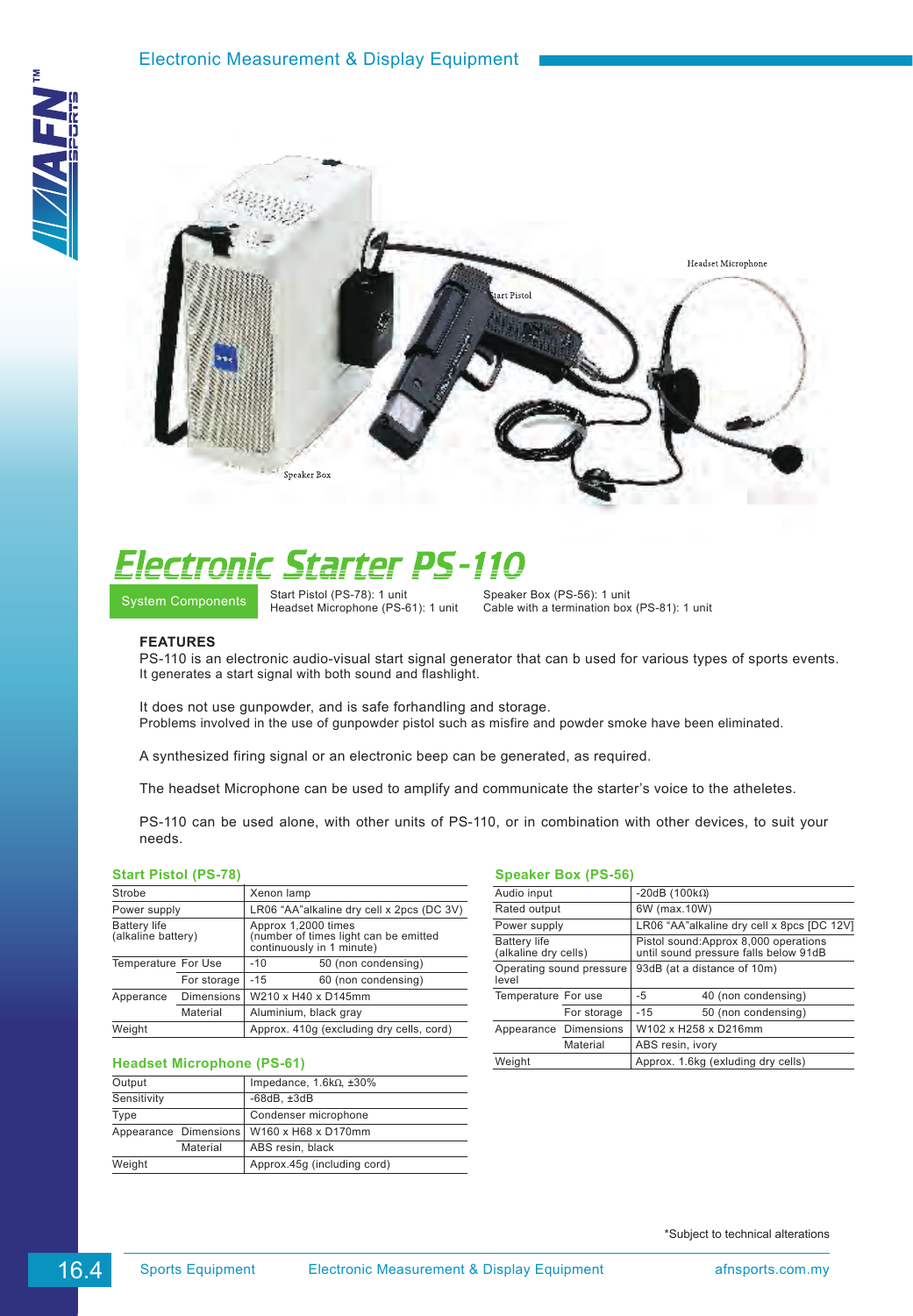



# Electronic !

Start Pistol (PS-78): 1 unit Speaker Box (PS-56): 1 unit<br>Headset Microphone (PS-61): 1 unit Cable with a termination box System Components Start Pistol (PS-78): 1 unit Speaker Box (PS-56): 1 unit<br>Headset Microphone (PS-61): 1 unit Cable with a termination box (PS-81): 1 unit

# **FEATURES**

PS-110 is an electronic audio-visual start signal generator that can b used for various types of sports events. It generates a start signal with both sound and flashlight.

It does not use gunpowder, and is safe forhandling and storage. Problems involved in the use of gunpowder pistol such as misfire and powder smoke have been eliminated.

A synthesized firing signal or an electronic beep can be generated, as required.

The headset Microphone can be used to amplify and communicate the starter's voice to the atheletes.

PS-110 can be used alone, with other units of PS-110, or in combination with other devices, to suit your needs.

# **Start Pistol (PS-78)**

| Strobe                             |                   | Xenon lamp                                                                                |                                          |
|------------------------------------|-------------------|-------------------------------------------------------------------------------------------|------------------------------------------|
| Power supply                       |                   | LR06 "AA"alkaline dry cell x 2pcs (DC 3V)                                                 |                                          |
| Battery life<br>(alkaline battery) |                   | Approx 1,2000 times<br>(number of times light can be emitted<br>continuously in 1 minute) |                                          |
| Temperature For Use                |                   | $-10$                                                                                     | 50 (non condensing)                      |
|                                    | For storage       | $-15$                                                                                     | 60 (non condensing)                      |
| Apperance                          | <b>Dimensions</b> | W210 x H40 x D145mm                                                                       |                                          |
|                                    | Material          | Aluminium, black gray                                                                     |                                          |
| Weight                             |                   |                                                                                           | Approx. 410g (excluding dry cells, cord) |
|                                    |                   |                                                                                           |                                          |

# **Headset Microphone (PS-61)**

| Output      |                       | Impedance, $1.6k\Omega$ , $\pm 30\%$ |
|-------------|-----------------------|--------------------------------------|
| Sensitivity |                       | $-68dB. \pm 3dB$                     |
| Type        |                       | Condenser microphone                 |
|             | Appearance Dimensions | W160 x H68 x D170mm                  |
|             | Material              | ABS resin, black                     |
| Weight      |                       | Approx.45g (including cord)          |
|             |                       |                                      |

## **Speaker Box (PS-56)**

| Audio input                                 |             | -20dB (100k $\Omega$ )                                                         |                                            |
|---------------------------------------------|-------------|--------------------------------------------------------------------------------|--------------------------------------------|
| Rated output                                |             | 6W (max.10W)                                                                   |                                            |
| Power supply                                |             |                                                                                | LR06 "AA"alkaline dry cell x 8pcs [DC 12V] |
| <b>Battery life</b><br>(alkaline dry cells) |             | Pistol sound: Approx 8,000 operations<br>until sound pressure falls below 91dB |                                            |
| Operating sound pressure<br>level           |             |                                                                                | 93dB (at a distance of 10m)                |
| Temperature For use                         |             | -5                                                                             | 40 (non condensing)                        |
|                                             | For storage | $-15$                                                                          | 50 (non condensing)                        |
| Appearance Dimensions                       |             | W102 x H258 x D216mm                                                           |                                            |
|                                             | Material    | ABS resin, ivory                                                               |                                            |
| Weight                                      |             | Approx. 1.6kg (exluding dry cells)                                             |                                            |
|                                             |             |                                                                                |                                            |

\*Subject to technical alterations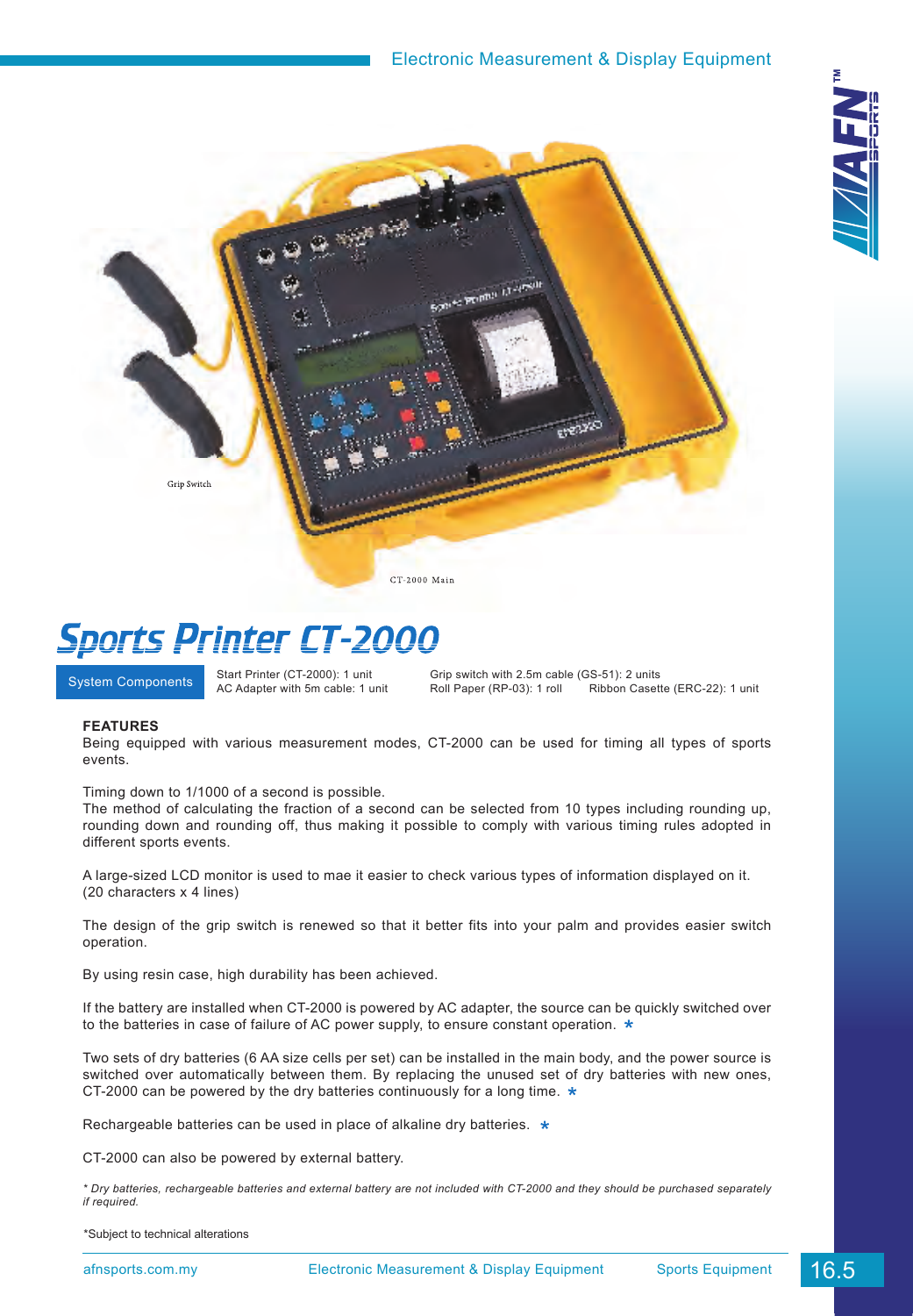



# **Sports Printer CT-2000**

System Components | Start Printer (CT-2000): 1 unit \,<br>AC Adapter with 5m cable: 1 unit

Start Printer (CT-2000): 1 unit Grip switch with 2.5m cable (GS-51): 2 units<br>AC Adapter with 5m cable: 1 unit Roll Paper (RP-03): 1 roll Ribbon Casette (ERC-22): 1 unit

# **FEATURES**

Being equipped with various measurement modes, CT-2000 can be used for timing all types of sports events.

Timing down to 1/1000 of a second is possible.

The method of calculating the fraction of a second can be selected from 10 types including rounding up, rounding down and rounding off, thus making it possible to comply with various timing rules adopted in different sports events.

A large-sized LCD monitor is used to mae it easier to check various types of information displayed on it. (20 characters x 4 lines)

The design of the grip switch is renewed so that it better fits into your palm and provides easier switch operation.

By using resin case, high durability has been achieved.

If the battery are installed when CT-2000 is powered by AC adapter, the source can be quickly switched over to the batteries in case of failure of AC power supply, to ensure constant operation.  $\star$ 

Two sets of dry batteries (6 AA size cells per set) can be installed in the main body, and the power source is switched over automatically between them. By replacing the unused set of dry batteries with new ones, CT-2000 can be powered by the dry batteries continuously for a long time.  $\star$ 

Rechargeable batteries can be used in place of alkaline dry batteries.  $\star$ 

CT-2000 can also be powered by external battery.

*\* Dry batteries, rechargeable batteries and external battery are not included with CT-2000 and they should be purchased separately if required.*

\*Subject to technical alterations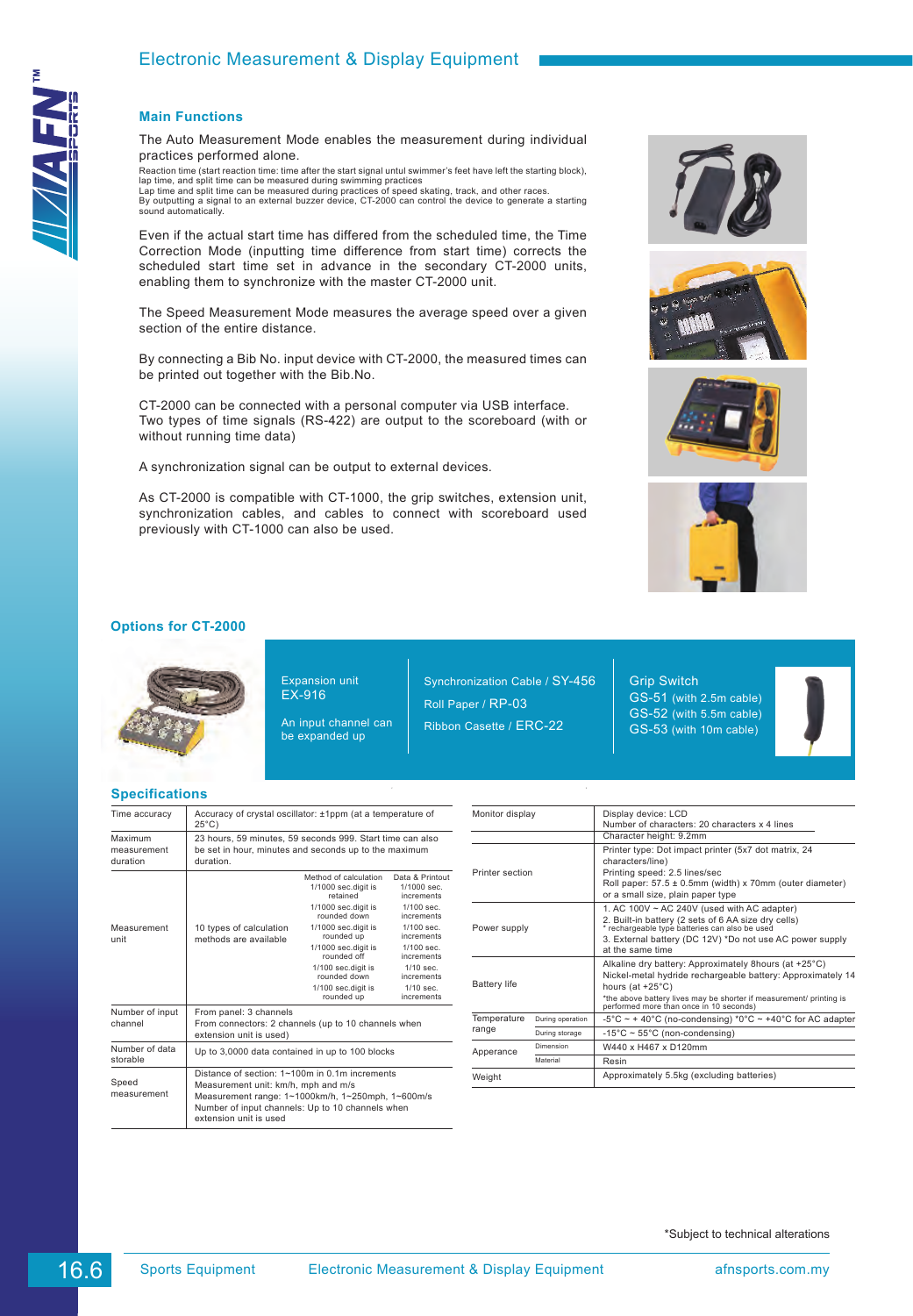# **Main Functions**

The Auto Measurement Mode enables the measurement during individual practices performed alone.

Reaction time (start reaction time: time after the start signal untul swimmer's teet have left the starting block),<br>lap time, and split time can be measured during swimming practices<br>Lap time and split time can be measured

Even if the actual start time has differed from the scheduled time, the Time Correction Mode (inputting time difference from start time) corrects the scheduled start time set in advance in the secondary CT-2000 units, enabling them to synchronize with the master CT-2000 unit.

The Speed Measurement Mode measures the average speed over a given section of the entire distance.

By connecting a Bib No. input device with CT-2000, the measured times can be printed out together with the Bib.No.

CT-2000 can be connected with a personal computer via USB interface. Two types of time signals (RS-422) are output to the scoreboard (with or without running time data)

A synchronization signal can be output to external devices.

As CT-2000 is compatible with CT-1000, the grip switches, extension unit, synchronization cables, and cables to connect with scoreboard used previously with CT-1000 can also be used.









# **Options for CT-2000**



Expansion unit EX-916

An input channel can be expanded up

Synchronization Cable / SY-456 Roll Paper / RP-03 Ribbon Casette / ERC-22

# Grip Switch GS-51 (with 2.5m cable)

GS-52 (with 5.5m cable) GS-53 (with 10m cable)



# **Specifications**

| Time accuracy                      | Accuracy of crystal oscillator: ±1ppm (at a temperature of<br>$25^{\circ}$ C)                                                                                                                                            |                                                          |                                             |
|------------------------------------|--------------------------------------------------------------------------------------------------------------------------------------------------------------------------------------------------------------------------|----------------------------------------------------------|---------------------------------------------|
| Maximum<br>measurement<br>duration | 23 hours, 59 minutes, 59 seconds 999. Start time can also<br>be set in hour, minutes and seconds up to the maximum<br>duration.                                                                                          |                                                          |                                             |
|                                    |                                                                                                                                                                                                                          | Method of calculation<br>1/1000 sec.digit is<br>retained | Data & Printout<br>1/1000 sec<br>increments |
|                                    |                                                                                                                                                                                                                          | 1/1000 sec.digit is<br>rounded down                      | $1/100$ sec.<br>increments                  |
| Measurement<br>unit                | 10 types of calculation<br>methods are available                                                                                                                                                                         | 1/1000 sec.digit is<br>rounded up                        | $1/100$ sec.<br>increments                  |
|                                    |                                                                                                                                                                                                                          | 1/1000 sec.digit is<br>rounded off                       | $1/100$ sec.<br>increments                  |
|                                    |                                                                                                                                                                                                                          | 1/100 sec.digit is<br>rounded down                       | $1/10$ sec.<br>increments                   |
|                                    |                                                                                                                                                                                                                          | 1/100 sec.digit is<br>rounded up                         | $1/10$ sec.<br>increments                   |
| Number of input<br>channel         | From panel: 3 channels<br>From connectors: 2 channels (up to 10 channels when<br>extension unit is used)                                                                                                                 |                                                          |                                             |
| Number of data<br>storable         | Up to 3,0000 data contained in up to 100 blocks                                                                                                                                                                          |                                                          |                                             |
| Speed<br>measurement               | Distance of section: 1~100m in 0.1m increments<br>Measurement unit: km/h, mph and m/s<br>Measurement range: 1~1000km/h, 1~250mph, 1~600m/s<br>Number of input channels: Up to 10 channels when<br>extension unit is used |                                                          |                                             |

| Monitor display      |                  | Display device: LCD                                                                                         |
|----------------------|------------------|-------------------------------------------------------------------------------------------------------------|
|                      |                  | Number of characters: 20 characters x 4 lines                                                               |
|                      |                  | Character height: 9.2mm                                                                                     |
|                      |                  | Printer type: Dot impact printer (5x7 dot matrix, 24                                                        |
|                      |                  | characters/line)                                                                                            |
| Printer section      |                  | Printing speed: 2.5 lines/sec                                                                               |
|                      |                  | Roll paper: $57.5 \pm 0.5$ mm (width) x 70mm (outer diameter)<br>or a small size, plain paper type          |
|                      |                  | 1. AC 100V $\sim$ AC 240V (used with AC adapter)                                                            |
| Power supply         |                  | 2. Built-in battery (2 sets of 6 AA size dry cells)<br>* rechargeable type batteries can also be used       |
|                      |                  |                                                                                                             |
|                      |                  | 3. External battery (DC 12V) *Do not use AC power supply                                                    |
|                      |                  | at the same time                                                                                            |
|                      |                  | Alkaline dry battery: Approximately 8hours (at +25°C)                                                       |
| <b>Battery</b> life  |                  | Nickel-metal hydride rechargeable battery: Approximately 14<br>hours (at $+25^{\circ}$ C)                   |
|                      |                  | *the above battery lives may be shorter if measurement/ printing is performed more than once in 10 seconds) |
| Temperature<br>range | During operation | $-5^{\circ}$ C ~ + 40 $^{\circ}$ C (no-condensing) *0 $^{\circ}$ C ~ +40 $^{\circ}$ C for AC adapter        |
|                      | During storage   | $-15^{\circ}$ C ~ 55°C (non-condensing)                                                                     |
| Apperance            | Dimension        | W440 x H467 x D120mm                                                                                        |
|                      | Material         | Resin                                                                                                       |
| Weight               |                  | Approximately 5.5kg (excluding batteries)                                                                   |

\*Subject to technical alterations